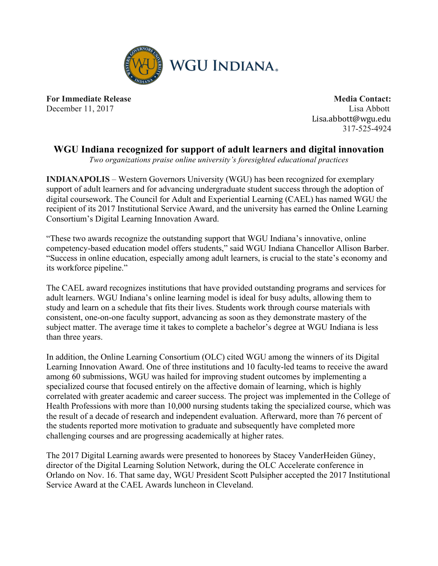

**For Immediate Release Media Contact:** December 11, 2017 Lisa Abbott

Lisa.abbott@wgu.edu 317-525-4924

## **WGU Indiana recognized for support of adult learners and digital innovation**

*Two organizations praise online university's foresighted educational practices*

**INDIANAPOLIS** – Western Governors University (WGU) has been recognized for exemplary support of adult learners and for advancing undergraduate student success through the adoption of digital coursework. The Council for Adult and Experiential Learning (CAEL) has named WGU the recipient of its 2017 Institutional Service Award, and the university has earned the Online Learning Consortium's Digital Learning Innovation Award.

"These two awards recognize the outstanding support that WGU Indiana's innovative, online competency-based education model offers students," said WGU Indiana Chancellor Allison Barber. "Success in online education, especially among adult learners, is crucial to the state's economy and its workforce pipeline."

The CAEL award recognizes institutions that have provided outstanding programs and services for adult learners. WGU Indiana's online learning model is ideal for busy adults, allowing them to study and learn on a schedule that fits their lives. Students work through course materials with consistent, one-on-one faculty support, advancing as soon as they demonstrate mastery of the subject matter. The average time it takes to complete a bachelor's degree at WGU Indiana is less than three years.

In addition, the Online Learning Consortium (OLC) cited WGU among the winners of its Digital Learning Innovation Award. One of three institutions and 10 faculty-led teams to receive the award among 60 submissions, WGU was hailed for improving student outcomes by implementing a specialized course that focused entirely on the affective domain of learning, which is highly correlated with greater academic and career success. The project was implemented in the College of Health Professions with more than 10,000 nursing students taking the specialized course, which was the result of a decade of research and independent evaluation. Afterward, more than 76 percent of the students reported more motivation to graduate and subsequently have completed more challenging courses and are progressing academically at higher rates.

The 2017 Digital Learning awards were presented to honorees by Stacey VanderHeiden Güney, director of the Digital Learning Solution Network, during the OLC Accelerate conference in Orlando on Nov. 16. That same day, WGU President Scott Pulsipher accepted the 2017 Institutional Service Award at the CAEL Awards luncheon in Cleveland.